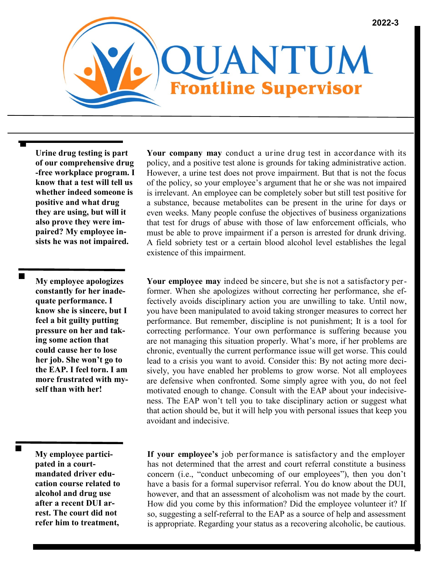

**Urine drug testing is part of our comprehensive drug -free workplace program. I know that a test will tell us whether indeed someone is positive and what drug they are using, but will it also prove they were impaired? My employee insists he was not impaired.**

**My employee apologizes constantly for her inadequate performance. I know she is sincere, but I feel a bit guilty putting pressure on her and taking some action that could cause her to lose her job. She won't go to the EAP. I feel torn. I am more frustrated with myself than with her!**

 $\blacksquare$ 

■

Ξ

**My employee participated in a courtmandated driver education course related to alcohol and drug use after a recent DUI arrest. The court did not refer him to treatment,** 

**Your company may** conduct a urine drug test in accordance with its policy, and a positive test alone is grounds for taking administrative action. However, a urine test does not prove impairment. But that is not the focus of the policy, so your employee's argument that he or she was not impaired is irrelevant. An employee can be completely sober but still test positive for a substance, because metabolites can be present in the urine for days or even weeks. Many people confuse the objectives of business organizations that test for drugs of abuse with those of law enforcement officials, who must be able to prove impairment if a person is arrested for drunk driving. A field sobriety test or a certain blood alcohol level establishes the legal existence of this impairment.

**Your employee may** indeed be sincere, but she is not a satisfactory performer. When she apologizes without correcting her performance, she effectively avoids disciplinary action you are unwilling to take. Until now, you have been manipulated to avoid taking stronger measures to correct her performance. But remember, discipline is not punishment; It is a tool for correcting performance. Your own performance is suffering because you are not managing this situation properly. What's more, if her problems are chronic, eventually the current performance issue will get worse. This could lead to a crisis you want to avoid. Consider this: By not acting more decisively, you have enabled her problems to grow worse. Not all employees are defensive when confronted. Some simply agree with you, do not feel motivated enough to change. Consult with the EAP about your indecisiveness. The EAP won't tell you to take disciplinary action or suggest what that action should be, but it will help you with personal issues that keep you avoidant and indecisive.

**If your employee's** job performance is satisfactory and the employer has not determined that the arrest and court referral constitute a business concern (i.e., "conduct unbecoming of our employees"), then you don't have a basis for a formal supervisor referral. You do know about the DUI, however, and that an assessment of alcoholism was not made by the court. How did you come by this information? Did the employee volunteer it? If so, suggesting a self-referral to the EAP as a source of help and assessment is appropriate. Regarding your status as a recovering alcoholic, be cautious.